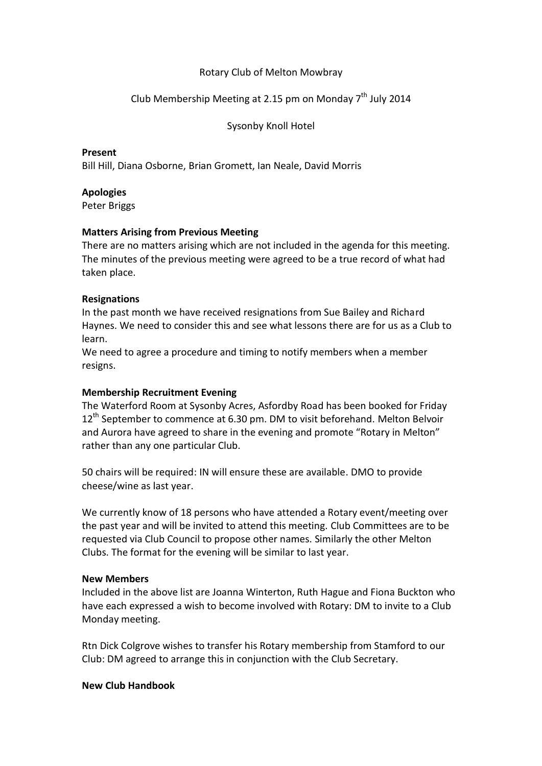## Rotary Club of Melton Mowbray

# Club Membership Meeting at 2.15 pm on Monday  $7<sup>th</sup>$  July 2014

Sysonby Knoll Hotel

### **Present**

Bill Hill, Diana Osborne, Brian Gromett, Ian Neale, David Morris

## **Apologies**

Peter Briggs

## **Matters Arising from Previous Meeting**

There are no matters arising which are not included in the agenda for this meeting. The minutes of the previous meeting were agreed to be a true record of what had taken place.

## **Resignations**

In the past month we have received resignations from Sue Bailey and Richard Haynes. We need to consider this and see what lessons there are for us as a Club to learn.

We need to agree a procedure and timing to notify members when a member resigns.

## **Membership Recruitment Evening**

The Waterford Room at Sysonby Acres, Asfordby Road has been booked for Friday  $12<sup>th</sup>$  September to commence at 6.30 pm. DM to visit beforehand. Melton Belvoir and Aurora have agreed to share in the evening and promote "Rotary in Melton" rather than any one particular Club.

50 chairs will be required: IN will ensure these are available. DMO to provide cheese/wine as last year.

We currently know of 18 persons who have attended a Rotary event/meeting over the past year and will be invited to attend this meeting. Club Committees are to be requested via Club Council to propose other names. Similarly the other Melton Clubs. The format for the evening will be similar to last year.

## **New Members**

Included in the above list are Joanna Winterton, Ruth Hague and Fiona Buckton who have each expressed a wish to become involved with Rotary: DM to invite to a Club Monday meeting.

Rtn Dick Colgrove wishes to transfer his Rotary membership from Stamford to our Club: DM agreed to arrange this in conjunction with the Club Secretary.

## **New Club Handbook**